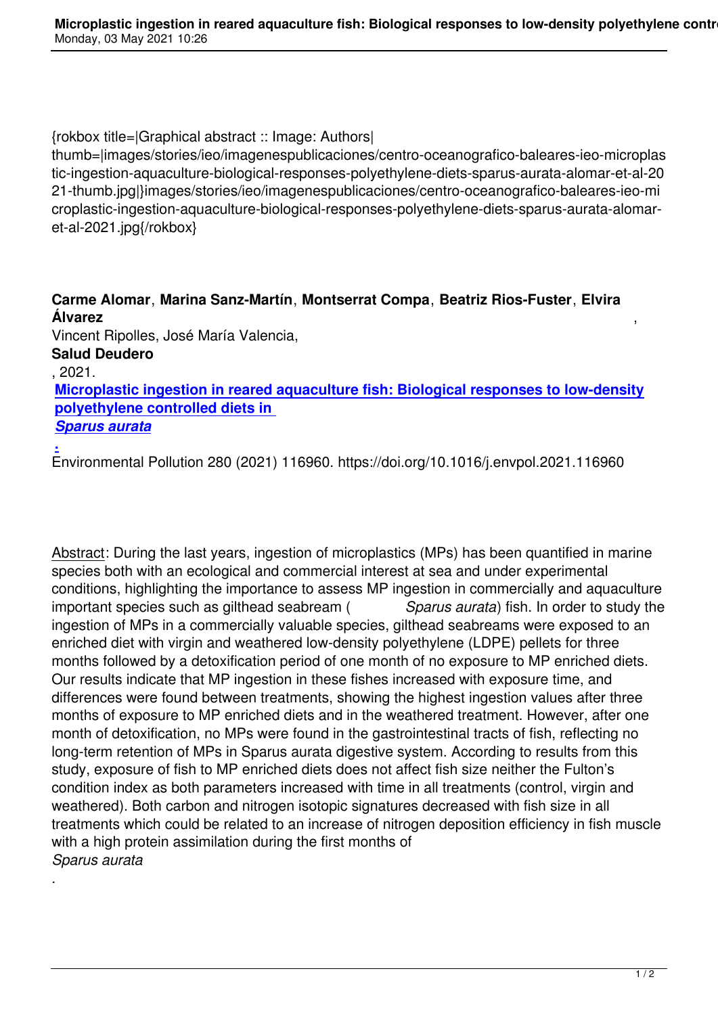{rokbox title=|Graphical abstract :: Image: Authors|

thumb=|images/stories/ieo/imagenespublicaciones/centro-oceanografico-baleares-ieo-microplas tic-ingestion-aquaculture-biological-responses-polyethylene-diets-sparus-aurata-alomar-et-al-20 21-thumb.jpg|}images/stories/ieo/imagenespublicaciones/centro-oceanografico-baleares-ieo-mi croplastic-ingestion-aquaculture-biological-responses-polyethylene-diets-sparus-aurata-alomaret-al-2021.jpg{/rokbox}

**Carme Alomar**, **Marina Sanz-Martín**, **Montserrat Compa**, **Beatriz Rios-Fuster**, **Elvira Álvarez** ,

Vincent Ripolles, José María Valencia, **Salud Deudero**

, 2021.

.

**Microplastic ingestion in reared aquaculture fish: Biological responses to low-density polyethylene controlled diets in** 

*Sparus aurata*

**.** [Environmental Pollution 280 \(2021\) 116960. https://doi.org/10.1016/j.envpol.2021.116960](https://bit.ly/2PNiNCK)

Abstract: During the last years, ingestion of microplastics (MPs) has been quantified in marine species both with an ecological and commercial interest at sea and under experimental conditions, highlighting the importance to assess MP ingestion in commercially and aquaculture important species such as gilthead seabream ( *Sparus aurata*) fish. In order to study the ingestion of MPs in a commercially valuable species, gilthead seabreams were exposed to an enriched diet with virgin and weathered low-density polyethylene (LDPE) pellets for three months followed by a detoxification period of one month of no exposure to MP enriched diets. Our results indicate that MP ingestion in these fishes increased with exposure time, and differences were found between treatments, showing the highest ingestion values after three months of exposure to MP enriched diets and in the weathered treatment. However, after one month of detoxification, no MPs were found in the gastrointestinal tracts of fish, reflecting no long-term retention of MPs in Sparus aurata digestive system. According to results from this study, exposure of fish to MP enriched diets does not affect fish size neither the Fulton's condition index as both parameters increased with time in all treatments (control, virgin and weathered). Both carbon and nitrogen isotopic signatures decreased with fish size in all treatments which could be related to an increase of nitrogen deposition efficiency in fish muscle with a high protein assimilation during the first months of *Sparus aurata*